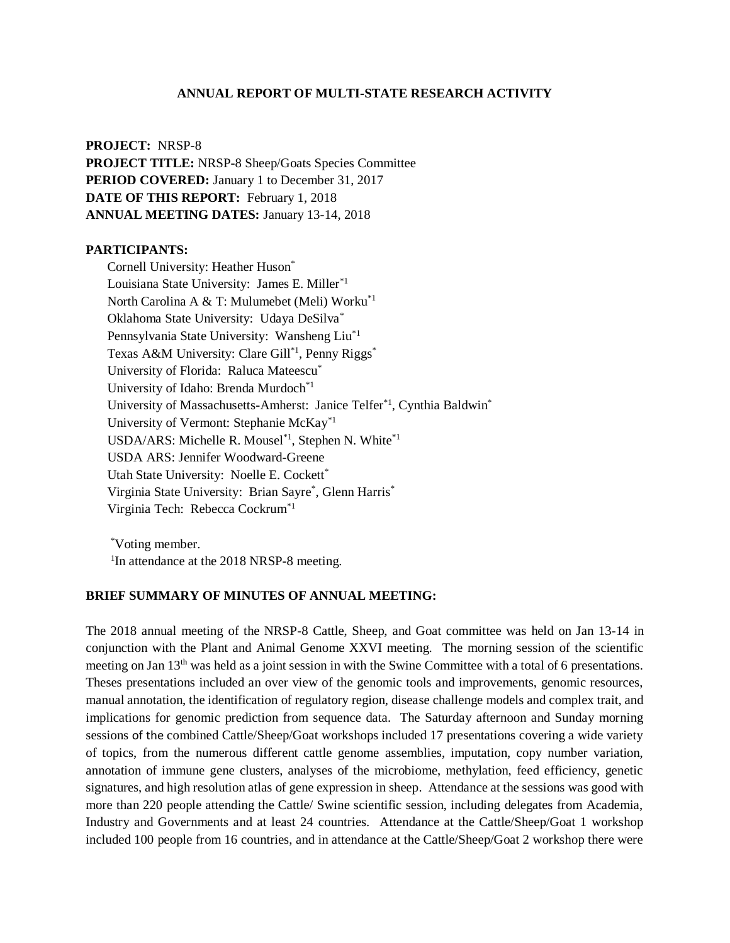#### **ANNUAL REPORT OF MULTI-STATE RESEARCH ACTIVITY**

**PROJECT:** NRSP-8 **PROJECT TITLE:** NRSP-8 Sheep/Goats Species Committee **PERIOD COVERED:** January 1 to December 31, 2017 **DATE OF THIS REPORT:** February 1, 2018 **ANNUAL MEETING DATES:** January 13-14, 2018

### **PARTICIPANTS:**

Cornell University: Heather Huson\* Louisiana State University: James E. Miller\*1 North Carolina A & T: Mulumebet (Meli) Worku\*1 Oklahoma State University: Udaya DeSilva\* Pennsylvania State University: Wansheng Liu\*1 Texas A&M University: Clare Gill<sup>\*1</sup>, Penny Riggs<sup>\*</sup> University of Florida: Raluca Mateescu\* University of Idaho: Brenda Murdoch\*1 University of Massachusetts-Amherst: Janice Telfer<sup>\*1</sup>, Cynthia Baldwin<sup>\*</sup> University of Vermont: Stephanie McKay\*1 USDA/ARS: Michelle R. Mousel<sup>\*1</sup>, Stephen N. White<sup>\*1</sup> USDA ARS: Jennifer Woodward-Greene Utah State University: Noelle E. Cockett\* Virginia State University: Brian Sayre\*, Glenn Harris\* Virginia Tech: Rebecca Cockrum\*1

\*Voting member. <sup>1</sup>In attendance at the 2018 NRSP-8 meeting.

# **BRIEF SUMMARY OF MINUTES OF ANNUAL MEETING:**

The 2018 annual meeting of the NRSP-8 Cattle, Sheep, and Goat committee was held on Jan 13-14 in conjunction with the Plant and Animal Genome XXVI meeting. The morning session of the scientific meeting on Jan 13th was held as a joint session in with the Swine Committee with a total of 6 presentations. Theses presentations included an over view of the genomic tools and improvements, genomic resources, manual annotation, the identification of regulatory region, disease challenge models and complex trait, and implications for genomic prediction from sequence data. The Saturday afternoon and Sunday morning sessions of the combined Cattle/Sheep/Goat workshops included 17 presentations covering a wide variety of topics, from the numerous different cattle genome assemblies, imputation, copy number variation, annotation of immune gene clusters, analyses of the microbiome, methylation, feed efficiency, genetic signatures, and high resolution atlas of gene expression in sheep. Attendance at the sessions was good with more than 220 people attending the Cattle/ Swine scientific session, including delegates from Academia, Industry and Governments and at least 24 countries. Attendance at the Cattle/Sheep/Goat 1 workshop included 100 people from 16 countries, and in attendance at the Cattle/Sheep/Goat 2 workshop there were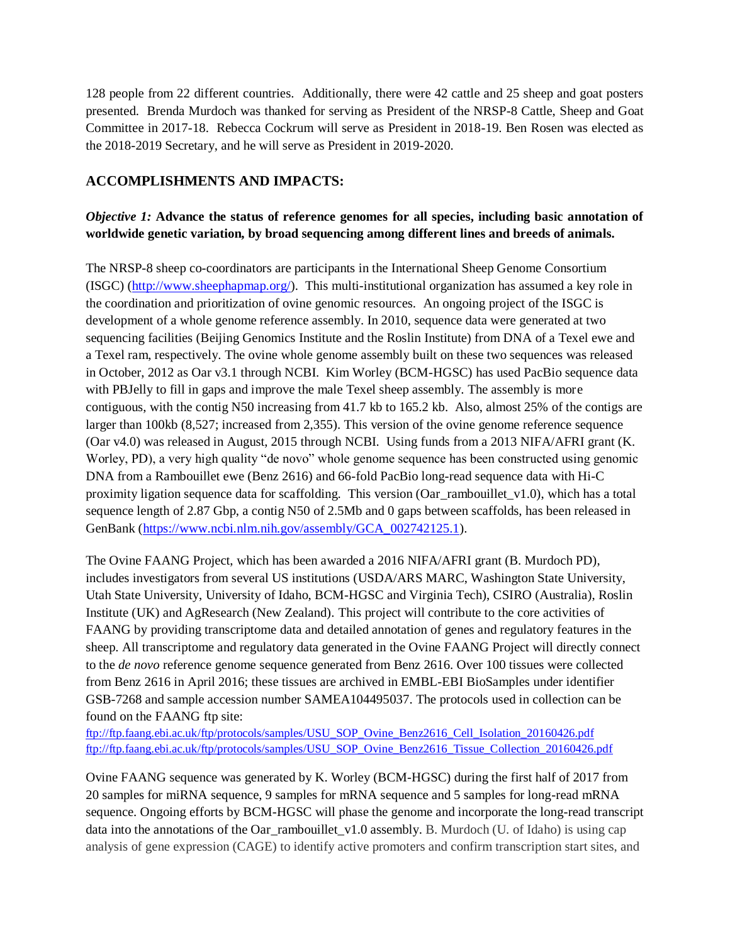128 people from 22 different countries. Additionally, there were 42 cattle and 25 sheep and goat posters presented. Brenda Murdoch was thanked for serving as President of the NRSP-8 Cattle, Sheep and Goat Committee in 2017-18. Rebecca Cockrum will serve as President in 2018-19. Ben Rosen was elected as the 2018-2019 Secretary, and he will serve as President in 2019-2020.

# **ACCOMPLISHMENTS AND IMPACTS:**

# *Objective 1:* **Advance the status of reference genomes for all species, including basic annotation of worldwide genetic variation, by broad sequencing among different lines and breeds of animals.**

The NRSP-8 sheep co-coordinators are participants in the International Sheep Genome Consortium (ISGC) [\(http://www.sheephapmap.org/\)](http://www.sheephapmap.org/). This multi-institutional organization has assumed a key role in the coordination and prioritization of ovine genomic resources. An ongoing project of the ISGC is development of a whole genome reference assembly. In 2010, sequence data were generated at two sequencing facilities (Beijing Genomics Institute and the Roslin Institute) from DNA of a Texel ewe and a Texel ram, respectively. The ovine whole genome assembly built on these two sequences was released in October, 2012 as Oar v3.1 through NCBI. Kim Worley (BCM-HGSC) has used PacBio sequence data with PBJelly to fill in gaps and improve the male Texel sheep assembly. The assembly is more contiguous, with the contig N50 increasing from 41.7 kb to 165.2 kb. Also, almost 25% of the contigs are larger than 100kb (8,527; increased from 2,355). This version of the ovine genome reference sequence (Oar v4.0) was released in August, 2015 through NCBI. Using funds from a 2013 NIFA/AFRI grant (K. Worley, PD), a very high quality "de novo" whole genome sequence has been constructed using genomic DNA from a Rambouillet ewe (Benz 2616) and 66-fold PacBio long-read sequence data with Hi-C proximity ligation sequence data for scaffolding. This version (Oar\_rambouillet\_v1.0), which has a total sequence length of 2.87 Gbp, a contig N50 of 2.5Mb and 0 gaps between scaffolds, has been released in GenBank [\(https://www.ncbi.nlm.nih.gov/assembly/GCA\\_002742125.1\)](https://www.ncbi.nlm.nih.gov/assembly/GCA_002742125.1).

The Ovine FAANG Project, which has been awarded a 2016 NIFA/AFRI grant (B. Murdoch PD), includes investigators from several US institutions (USDA/ARS MARC, Washington State University, Utah State University, University of Idaho, BCM-HGSC and Virginia Tech), CSIRO (Australia), Roslin Institute (UK) and AgResearch (New Zealand). This project will contribute to the core activities of FAANG by providing transcriptome data and detailed annotation of genes and regulatory features in the sheep. All transcriptome and regulatory data generated in the Ovine FAANG Project will directly connect to the *de novo* reference genome sequence generated from Benz 2616. Over 100 tissues were collected from Benz 2616 in April 2016; these tissues are archived in EMBL-EBI BioSamples under identifier GSB-7268 and sample accession number SAMEA104495037. The protocols used in collection can be found on the FAANG ftp site:

[ftp://ftp.faang.ebi.ac.uk/ftp/protocols/samples/USU\\_SOP\\_Ovine\\_Benz2616\\_Cell\\_Isolation\\_20160426.pdf](ftp://ftp.faang.ebi.ac.uk/ftp/protocols/samples/USU_SOP_Ovine_Benz2616_Cell_Isolation_20160426.pdf) [ftp://ftp.faang.ebi.ac.uk/ftp/protocols/samples/USU\\_SOP\\_Ovine\\_Benz2616\\_Tissue\\_Collection\\_20160426.pdf](ftp://ftp.faang.ebi.ac.uk/ftp/protocols/samples/USU_SOP_Ovine_Benz2616_Tissue_Collection_20160426.pdf)

Ovine FAANG sequence was generated by K. Worley (BCM-HGSC) during the first half of 2017 from 20 samples for miRNA sequence, 9 samples for mRNA sequence and 5 samples for long-read mRNA sequence. Ongoing efforts by BCM-HGSC will phase the genome and incorporate the long-read transcript data into the annotations of the Oar\_rambouillet\_v1.0 assembly. B. Murdoch (U. of Idaho) is using cap analysis of gene expression (CAGE) to identify active promoters and confirm transcription start sites, and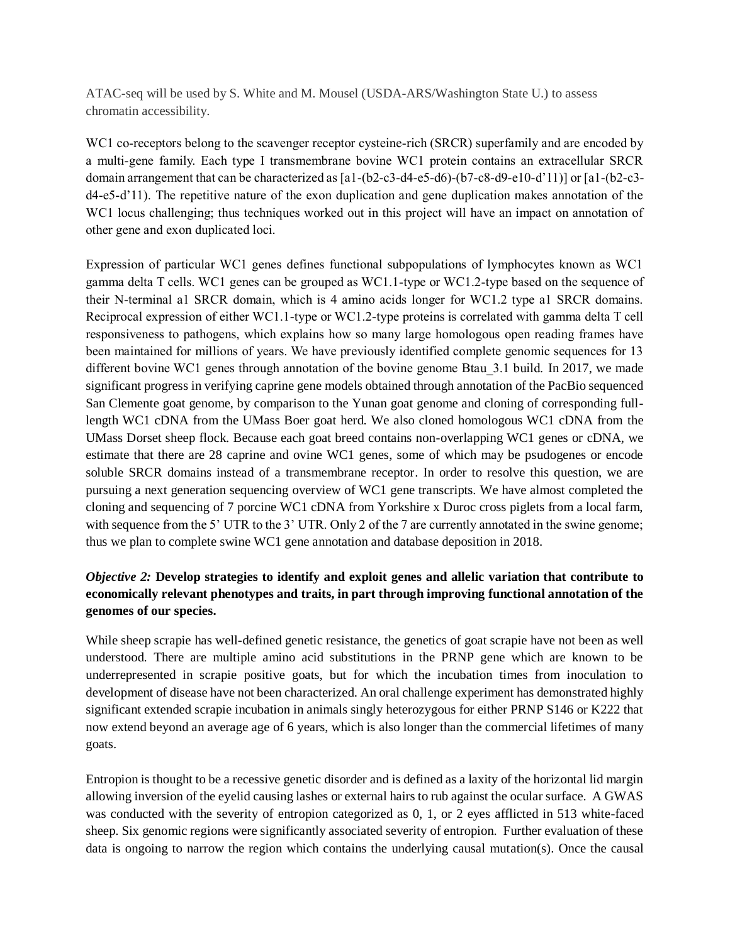ATAC-seq will be used by S. White and M. Mousel (USDA-ARS/Washington State U.) to assess chromatin accessibility.

WC1 co-receptors belong to the scavenger receptor cysteine-rich (SRCR) superfamily and are encoded by a multi-gene family. Each type I transmembrane bovine WC1 protein contains an extracellular SRCR domain arrangement that can be characterized as [a1-(b2-c3-d4-e5-d6)-(b7-c8-d9-e10-d'11)] or [a1-(b2-c3 d4-e5-d'11). The repetitive nature of the exon duplication and gene duplication makes annotation of the WC1 locus challenging; thus techniques worked out in this project will have an impact on annotation of other gene and exon duplicated loci.

Expression of particular WC1 genes defines functional subpopulations of lymphocytes known as WC1 gamma delta T cells. WC1 genes can be grouped as WC1.1-type or WC1.2-type based on the sequence of their N-terminal a1 SRCR domain, which is 4 amino acids longer for WC1.2 type a1 SRCR domains. Reciprocal expression of either WC1.1-type or WC1.2-type proteins is correlated with gamma delta T cell responsiveness to pathogens, which explains how so many large homologous open reading frames have been maintained for millions of years. We have previously identified complete genomic sequences for 13 different bovine WC1 genes through annotation of the bovine genome Btau 3.1 build. In 2017, we made significant progress in verifying caprine gene models obtained through annotation of the PacBio sequenced San Clemente goat genome, by comparison to the Yunan goat genome and cloning of corresponding fulllength WC1 cDNA from the UMass Boer goat herd. We also cloned homologous WC1 cDNA from the UMass Dorset sheep flock. Because each goat breed contains non-overlapping WC1 genes or cDNA, we estimate that there are 28 caprine and ovine WC1 genes, some of which may be psudogenes or encode soluble SRCR domains instead of a transmembrane receptor. In order to resolve this question, we are pursuing a next generation sequencing overview of WC1 gene transcripts. We have almost completed the cloning and sequencing of 7 porcine WC1 cDNA from Yorkshire x Duroc cross piglets from a local farm, with sequence from the 5' UTR to the 3' UTR. Only 2 of the 7 are currently annotated in the swine genome; thus we plan to complete swine WC1 gene annotation and database deposition in 2018.

# *Objective 2:* **Develop strategies to identify and exploit genes and allelic variation that contribute to economically relevant phenotypes and traits, in part through improving functional annotation of the genomes of our species.**

While sheep scrapie has well-defined genetic resistance, the genetics of goat scrapie have not been as well understood. There are multiple amino acid substitutions in the PRNP gene which are known to be underrepresented in scrapie positive goats, but for which the incubation times from inoculation to development of disease have not been characterized. An oral challenge experiment has demonstrated highly significant extended scrapie incubation in animals singly heterozygous for either PRNP S146 or K222 that now extend beyond an average age of 6 years, which is also longer than the commercial lifetimes of many goats.

Entropion is thought to be a recessive genetic disorder and is defined as a laxity of the horizontal lid margin allowing inversion of the eyelid causing lashes or external hairs to rub against the ocular surface. A GWAS was conducted with the severity of entropion categorized as 0, 1, or 2 eyes afflicted in 513 white-faced sheep. Six genomic regions were significantly associated severity of entropion. Further evaluation of these data is ongoing to narrow the region which contains the underlying causal mutation(s). Once the causal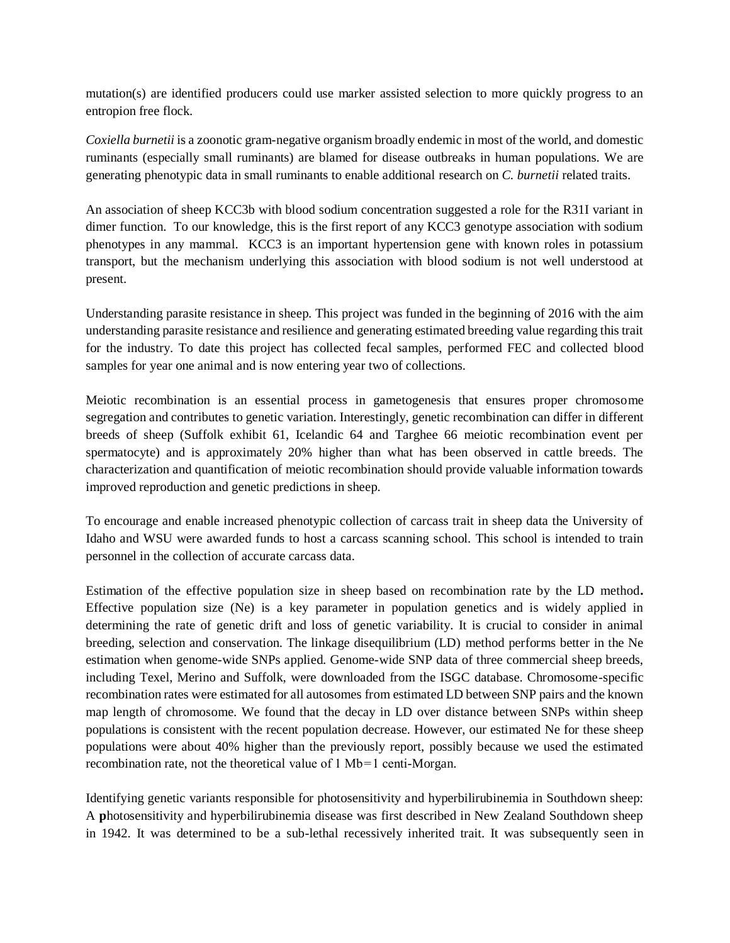mutation(s) are identified producers could use marker assisted selection to more quickly progress to an entropion free flock.

*Coxiella burnetii* is a zoonotic gram-negative organism broadly endemic in most of the world, and domestic ruminants (especially small ruminants) are blamed for disease outbreaks in human populations. We are generating phenotypic data in small ruminants to enable additional research on *C. burnetii* related traits.

An association of sheep KCC3b with blood sodium concentration suggested a role for the R31I variant in dimer function. To our knowledge, this is the first report of any KCC3 genotype association with sodium phenotypes in any mammal. KCC3 is an important hypertension gene with known roles in potassium transport, but the mechanism underlying this association with blood sodium is not well understood at present.

Understanding parasite resistance in sheep. This project was funded in the beginning of 2016 with the aim understanding parasite resistance and resilience and generating estimated breeding value regarding this trait for the industry. To date this project has collected fecal samples, performed FEC and collected blood samples for year one animal and is now entering year two of collections.

Meiotic recombination is an essential process in gametogenesis that ensures proper chromosome segregation and contributes to genetic variation. Interestingly, genetic recombination can differ in different breeds of sheep (Suffolk exhibit 61, Icelandic 64 and Targhee 66 meiotic recombination event per spermatocyte) and is approximately 20% higher than what has been observed in cattle breeds. The characterization and quantification of meiotic recombination should provide valuable information towards improved reproduction and genetic predictions in sheep.

To encourage and enable increased phenotypic collection of carcass trait in sheep data the University of Idaho and WSU were awarded funds to host a carcass scanning school. This school is intended to train personnel in the collection of accurate carcass data.

Estimation of the effective population size in sheep based on recombination rate by the LD method**.**  Effective population size (Ne) is a key parameter in population genetics and is widely applied in determining the rate of genetic drift and loss of genetic variability. It is crucial to consider in animal breeding, selection and conservation. The linkage disequilibrium (LD) method performs better in the Ne estimation when genome-wide SNPs applied. Genome-wide SNP data of three commercial sheep breeds, including Texel, Merino and Suffolk, were downloaded from the ISGC database. Chromosome-specific recombination rates were estimated for all autosomes from estimated LD between SNP pairs and the known map length of chromosome. We found that the decay in LD over distance between SNPs within sheep populations is consistent with the recent population decrease. However, our estimated Ne for these sheep populations were about 40% higher than the previously report, possibly because we used the estimated recombination rate, not the theoretical value of  $1 \text{ Mb} = 1 \text{ centi-Morgan.}$ 

Identifying genetic variants responsible for photosensitivity and hyperbilirubinemia in Southdown sheep: A **p**hotosensitivity and hyperbilirubinemia disease was first described in New Zealand Southdown sheep in 1942. It was determined to be a sub-lethal recessively inherited trait. It was subsequently seen in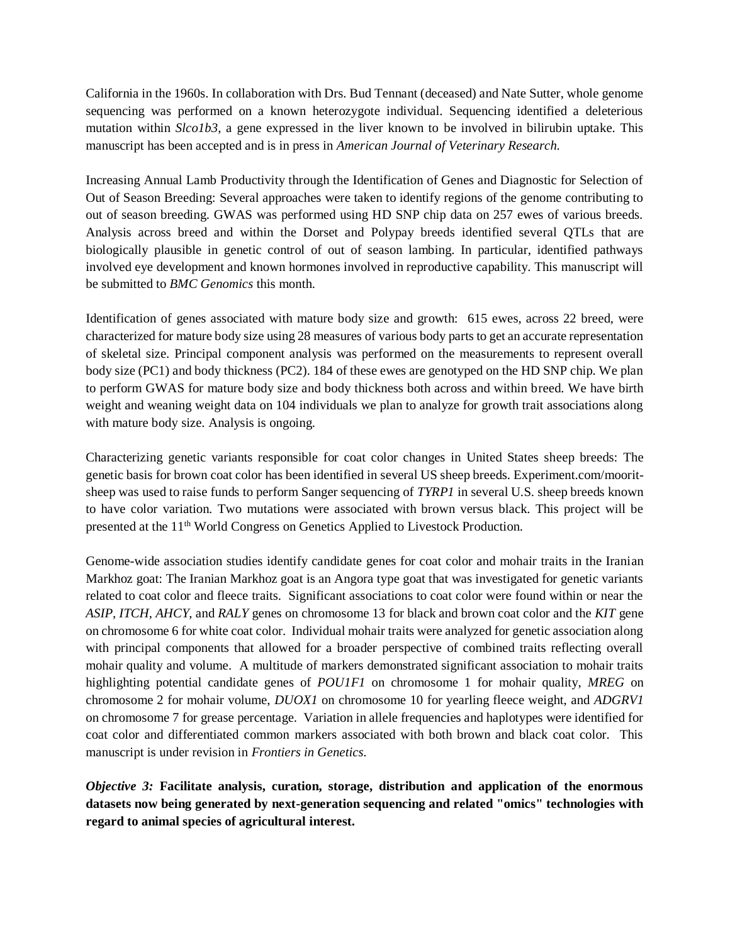California in the 1960s. In collaboration with Drs. Bud Tennant (deceased) and Nate Sutter, whole genome sequencing was performed on a known heterozygote individual. Sequencing identified a deleterious mutation within *Slco1b3*, a gene expressed in the liver known to be involved in bilirubin uptake. This manuscript has been accepted and is in press in *American Journal of Veterinary Research.* 

Increasing Annual Lamb Productivity through the Identification of Genes and Diagnostic for Selection of Out of Season Breeding: Several approaches were taken to identify regions of the genome contributing to out of season breeding. GWAS was performed using HD SNP chip data on 257 ewes of various breeds. Analysis across breed and within the Dorset and Polypay breeds identified several QTLs that are biologically plausible in genetic control of out of season lambing. In particular, identified pathways involved eye development and known hormones involved in reproductive capability. This manuscript will be submitted to *BMC Genomics* this month.

Identification of genes associated with mature body size and growth:615 ewes, across 22 breed, were characterized for mature body size using 28 measures of various body parts to get an accurate representation of skeletal size. Principal component analysis was performed on the measurements to represent overall body size (PC1) and body thickness (PC2). 184 of these ewes are genotyped on the HD SNP chip. We plan to perform GWAS for mature body size and body thickness both across and within breed. We have birth weight and weaning weight data on 104 individuals we plan to analyze for growth trait associations along with mature body size. Analysis is ongoing.

Characterizing genetic variants responsible for coat color changes in United States sheep breeds: The genetic basis for brown coat color has been identified in several US sheep breeds. Experiment.com/mooritsheep was used to raise funds to perform Sanger sequencing of *TYRP1* in several U.S. sheep breeds known to have color variation. Two mutations were associated with brown versus black. This project will be presented at the 11th World Congress on Genetics Applied to Livestock Production.

Genome-wide association studies identify candidate genes for coat color and mohair traits in the Iranian Markhoz goat: The Iranian Markhoz goat is an Angora type goat that was investigated for genetic variants related to coat color and fleece traits. Significant associations to coat color were found within or near the *ASIP, ITCH*, *AHCY*, and *RALY* genes on chromosome 13 for black and brown coat color and the *KIT* gene on chromosome 6 for white coat color. Individual mohair traits were analyzed for genetic association along with principal components that allowed for a broader perspective of combined traits reflecting overall mohair quality and volume. A multitude of markers demonstrated significant association to mohair traits highlighting potential candidate genes of *POU1F1* on chromosome 1 for mohair quality, *MREG* on chromosome 2 for mohair volume, *DUOX1* on chromosome 10 for yearling fleece weight, and *ADGRV1* on chromosome 7 for grease percentage. Variation in allele frequencies and haplotypes were identified for coat color and differentiated common markers associated with both brown and black coat color. This manuscript is under revision in *Frontiers in Genetics.*

*Objective 3:* **Facilitate analysis, curation, storage, distribution and application of the enormous datasets now being generated by next-generation sequencing and related "omics" technologies with regard to animal species of agricultural interest.**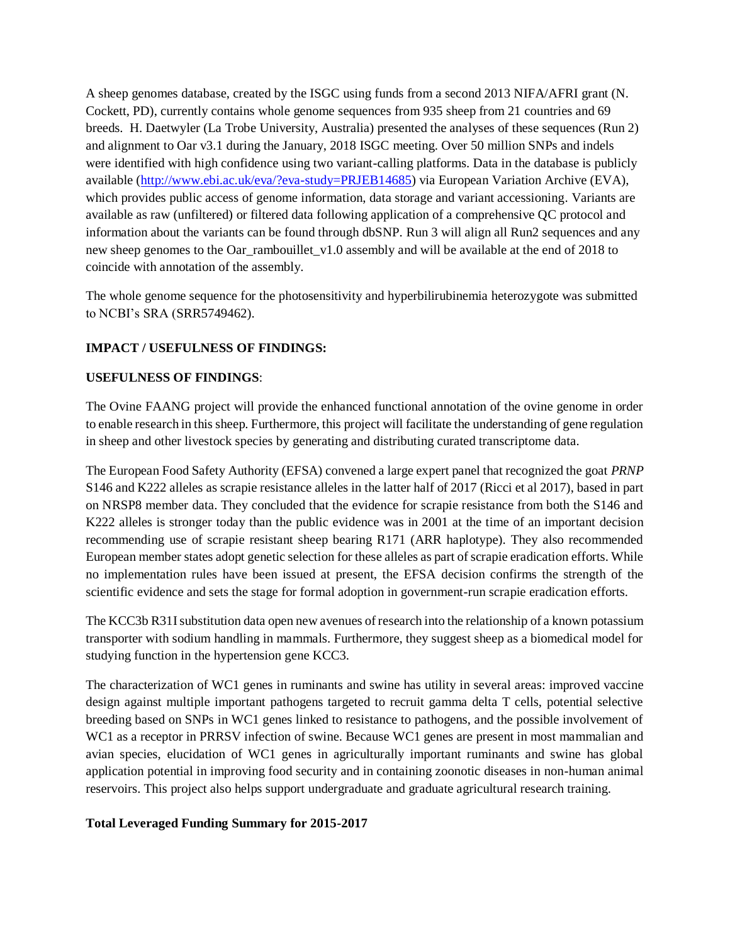A sheep genomes database, created by the ISGC using funds from a second 2013 NIFA/AFRI grant (N. Cockett, PD), currently contains whole genome sequences from 935 sheep from 21 countries and 69 breeds. H. Daetwyler (La Trobe University, Australia) presented the analyses of these sequences (Run 2) and alignment to Oar v3.1 during the January, 2018 ISGC meeting. Over 50 million SNPs and indels were identified with high confidence using two variant-calling platforms. Data in the database is publicly available [\(http://www.ebi.ac.uk/eva/?eva-study=PRJEB14685\)](http://www.ebi.ac.uk/eva/?eva-study=PRJEB14685) via European Variation Archive (EVA), which provides public access of genome information, data storage and variant accessioning. Variants are available as raw (unfiltered) or filtered data following application of a comprehensive QC protocol and information about the variants can be found through dbSNP. Run 3 will align all Run2 sequences and any new sheep genomes to the Oar\_rambouillet\_v1.0 assembly and will be available at the end of 2018 to coincide with annotation of the assembly.

The whole genome sequence for the photosensitivity and hyperbilirubinemia heterozygote was submitted to NCBI's SRA (SRR5749462).

# **IMPACT / USEFULNESS OF FINDINGS:**

### **USEFULNESS OF FINDINGS**:

The Ovine FAANG project will provide the enhanced functional annotation of the ovine genome in order to enable research in this sheep. Furthermore, this project will facilitate the understanding of gene regulation in sheep and other livestock species by generating and distributing curated transcriptome data.

The European Food Safety Authority (EFSA) convened a large expert panel that recognized the goat *PRNP* S146 and K222 alleles as scrapie resistance alleles in the latter half of 2017 (Ricci et al 2017), based in part on NRSP8 member data. They concluded that the evidence for scrapie resistance from both the S146 and K222 alleles is stronger today than the public evidence was in 2001 at the time of an important decision recommending use of scrapie resistant sheep bearing R171 (ARR haplotype). They also recommended European member states adopt genetic selection for these alleles as part of scrapie eradication efforts. While no implementation rules have been issued at present, the EFSA decision confirms the strength of the scientific evidence and sets the stage for formal adoption in government-run scrapie eradication efforts.

The KCC3b R31I substitution data open new avenues of research into the relationship of a known potassium transporter with sodium handling in mammals. Furthermore, they suggest sheep as a biomedical model for studying function in the hypertension gene KCC3.

The characterization of WC1 genes in ruminants and swine has utility in several areas: improved vaccine design against multiple important pathogens targeted to recruit gamma delta T cells, potential selective breeding based on SNPs in WC1 genes linked to resistance to pathogens, and the possible involvement of WC1 as a receptor in PRRSV infection of swine. Because WC1 genes are present in most mammalian and avian species, elucidation of WC1 genes in agriculturally important ruminants and swine has global application potential in improving food security and in containing zoonotic diseases in non-human animal reservoirs. This project also helps support undergraduate and graduate agricultural research training.

### **Total Leveraged Funding Summary for 2015-2017**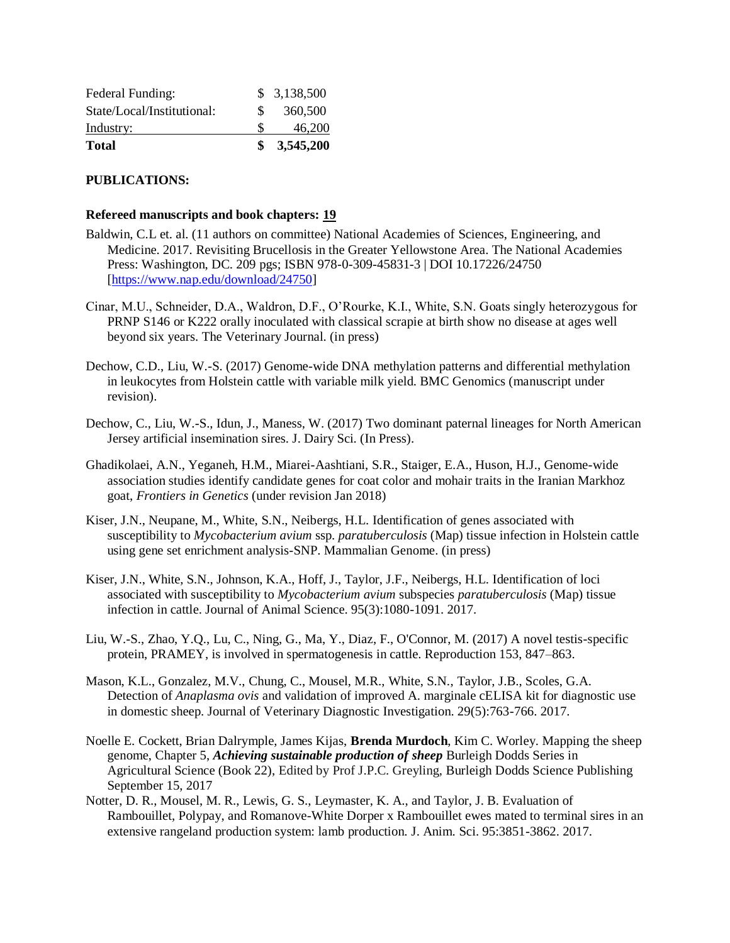| <b>Total</b>               |     | \$3,545,200 |
|----------------------------|-----|-------------|
| Industry:                  |     | 46,200      |
| State/Local/Institutional: | SS. | 360,500     |
| Federal Funding:           |     | \$3,138,500 |

# **PUBLICATIONS:**

#### **Refereed manuscripts and book chapters: 19**

- Baldwin, C.L et. al. (11 authors on committee) National Academies of Sciences, Engineering, and Medicine. 2017. Revisiting Brucellosis in the Greater Yellowstone Area. The National Academies Press: Washington, DC. 209 pgs; ISBN 978-0-309-45831-3 | DOI 10.17226/24750 [\[https://www.nap.edu/download/24750\]](https://www.nap.edu/download/24750)
- Cinar, M.U., Schneider, D.A., Waldron, D.F., O'Rourke, K.I., White, S.N. Goats singly heterozygous for PRNP S146 or K222 orally inoculated with classical scrapie at birth show no disease at ages well beyond six years. The Veterinary Journal. (in press)
- Dechow, C.D., Liu, W.-S. (2017) Genome-wide DNA methylation patterns and differential methylation in leukocytes from Holstein cattle with variable milk yield. BMC Genomics (manuscript under revision).
- Dechow, C., Liu, W.-S., Idun, J., Maness, W. (2017) Two dominant paternal lineages for North American Jersey artificial insemination sires. J. Dairy Sci. (In Press).
- Ghadikolaei, A.N., Yeganeh, H.M., Miarei-Aashtiani, S.R., Staiger, E.A., Huson, H.J., Genome-wide association studies identify candidate genes for coat color and mohair traits in the Iranian Markhoz goat, *Frontiers in Genetics* (under revision Jan 2018)
- Kiser, J.N., Neupane, M., White, S.N., Neibergs, H.L. Identification of genes associated with susceptibility to *Mycobacterium avium* ssp. *paratuberculosis* (Map) tissue infection in Holstein cattle using gene set enrichment analysis-SNP. Mammalian Genome. (in press)
- Kiser, J.N., White, S.N., Johnson, K.A., Hoff, J., Taylor, J.F., Neibergs, H.L. Identification of loci associated with susceptibility to *Mycobacterium avium* subspecies *paratuberculosis* (Map) tissue infection in cattle. Journal of Animal Science. 95(3):1080-1091. 2017.
- Liu, W.-S., Zhao, Y.Q., Lu, C., Ning, G., Ma, Y., Diaz, F., O'Connor, M. (2017) A novel testis-specific protein, PRAMEY, is involved in spermatogenesis in cattle. Reproduction 153, 847–863.
- Mason, K.L., Gonzalez, M.V., Chung, C., Mousel, M.R., White, S.N., Taylor, J.B., Scoles, G.A. Detection of *Anaplasma ovis* and validation of improved A. marginale cELISA kit for diagnostic use in domestic sheep. Journal of Veterinary Diagnostic Investigation. 29(5):763-766. 2017.
- Noelle E. Cockett, Brian Dalrymple, James Kijas, **Brenda Murdoch**, Kim C. Worley. Mapping the sheep genome, Chapter 5, *Achieving sustainable production of sheep* Burleigh Dodds Series in Agricultural Science (Book 22), Edited by Prof J.P.C. Greyling, Burleigh Dodds Science Publishing September 15, 2017
- Notter, D. R., Mousel, M. R., Lewis, G. S., Leymaster, K. A., and Taylor, J. B. Evaluation of Rambouillet, Polypay, and Romanove-White Dorper x Rambouillet ewes mated to terminal sires in an extensive rangeland production system: lamb production. J. Anim. Sci. 95:3851-3862. 2017.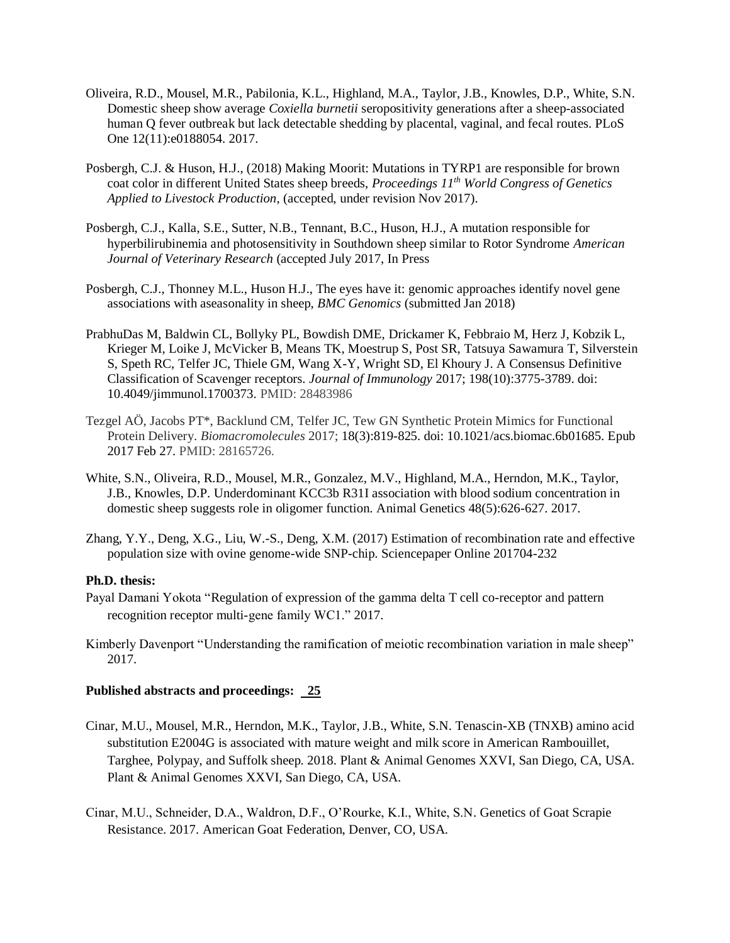- Oliveira, R.D., Mousel, M.R., Pabilonia, K.L., Highland, M.A., Taylor, J.B., Knowles, D.P., White, S.N. Domestic sheep show average *Coxiella burnetii* seropositivity generations after a sheep-associated human Q fever outbreak but lack detectable shedding by placental, vaginal, and fecal routes. PLoS One 12(11):e0188054. 2017.
- Posbergh, C.J. & Huson, H.J., (2018) Making Moorit: Mutations in TYRP1 are responsible for brown coat color in different United States sheep breeds, *Proceedings 11th World Congress of Genetics Applied to Livestock Production*, (accepted, under revision Nov 2017).
- Posbergh, C.J., Kalla, S.E., Sutter, N.B., Tennant, B.C., Huson, H.J., A mutation responsible for hyperbilirubinemia and photosensitivity in Southdown sheep similar to Rotor Syndrome *American Journal of Veterinary Research* (accepted July 2017, In Press
- Posbergh, C.J., Thonney M.L., Huson H.J., The eyes have it: genomic approaches identify novel gene associations with aseasonality in sheep, *BMC Genomics* (submitted Jan 2018)
- PrabhuDas M, Baldwin CL, Bollyky PL, Bowdish DME, Drickamer K, Febbraio M, Herz J, Kobzik L, Krieger M, Loike J, McVicker B, Means TK, Moestrup S, Post SR, Tatsuya Sawamura T, Silverstein S, Speth RC, Telfer JC, Thiele GM, Wang X-Y, Wright SD, El Khoury J. A Consensus Definitive Classification of Scavenger receptors. *Journal of Immunology* 2017; 198(10):3775-3789. doi: 10.4049/jimmunol.1700373. PMID: 28483986
- Tezgel AÖ, Jacobs PT\*, Backlund CM, Telfer JC, Tew GN Synthetic Protein Mimics for Functional Protein Delivery. *Biomacromolecules* 2017; 18(3):819-825. doi: 10.1021/acs.biomac.6b01685. Epub 2017 Feb 27. PMID: 28165726.
- White, S.N., Oliveira, R.D., Mousel, M.R., Gonzalez, M.V., Highland, M.A., Herndon, M.K., Taylor, J.B., Knowles, D.P. Underdominant KCC3b R31I association with blood sodium concentration in domestic sheep suggests role in oligomer function. Animal Genetics 48(5):626-627. 2017.
- Zhang, Y.Y., Deng, X.G., Liu, W.-S., Deng, X.M. (2017) Estimation of recombination rate and effective population size with ovine genome-wide SNP-chip. Sciencepaper Online 201704-232

### **Ph.D. thesis:**

- Payal Damani Yokota "Regulation of expression of the gamma delta T cell co-receptor and pattern recognition receptor multi-gene family WC1." 2017.
- Kimberly Davenport "Understanding the ramification of meiotic recombination variation in male sheep" 2017.

### **Published abstracts and proceedings: 25**

- Cinar, M.U., Mousel, M.R., Herndon, M.K., Taylor, J.B., White, S.N. Tenascin-XB (TNXB) amino acid substitution E2004G is associated with mature weight and milk score in American Rambouillet, Targhee, Polypay, and Suffolk sheep. 2018. Plant & Animal Genomes XXVI, San Diego, CA, USA. Plant & Animal Genomes XXVI, San Diego, CA, USA.
- Cinar, M.U., Schneider, D.A., Waldron, D.F., O'Rourke, K.I., White, S.N. Genetics of Goat Scrapie Resistance. 2017. American Goat Federation, Denver, CO, USA.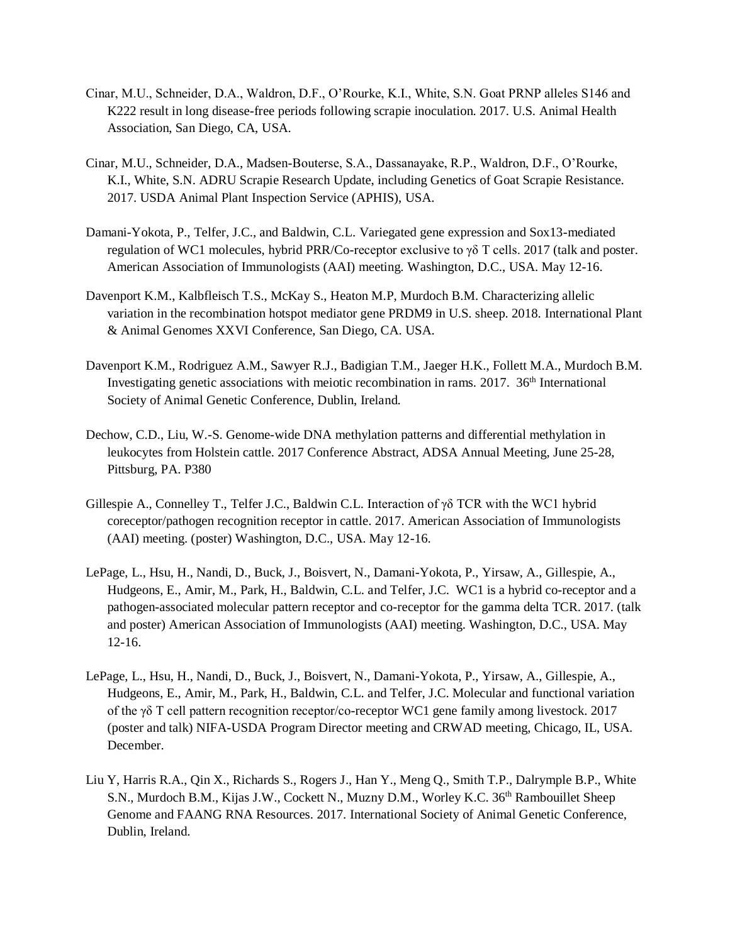- Cinar, M.U., Schneider, D.A., Waldron, D.F., O'Rourke, K.I., White, S.N. Goat PRNP alleles S146 and K222 result in long disease-free periods following scrapie inoculation. 2017. U.S. Animal Health Association, San Diego, CA, USA.
- Cinar, M.U., Schneider, D.A., Madsen-Bouterse, S.A., Dassanayake, R.P., Waldron, D.F., O'Rourke, K.I., White, S.N. ADRU Scrapie Research Update, including Genetics of Goat Scrapie Resistance. 2017. USDA Animal Plant Inspection Service (APHIS), USA.
- Damani-Yokota, P., Telfer, J.C., and Baldwin, C.L. Variegated gene expression and Sox13-mediated regulation of WC1 molecules, hybrid PRR/Co-receptor exclusive to  $\gamma\delta$  T cells. 2017 (talk and poster. American Association of Immunologists (AAI) meeting. Washington, D.C., USA. May 12-16.
- Davenport K.M., Kalbfleisch T.S., McKay S., Heaton M.P, Murdoch B.M. Characterizing allelic variation in the recombination hotspot mediator gene PRDM9 in U.S. sheep. 2018. International Plant & Animal Genomes XXVI Conference, San Diego, CA. USA.
- Davenport K.M., Rodriguez A.M., Sawyer R.J., Badigian T.M., Jaeger H.K., Follett M.A., Murdoch B.M. Investigating genetic associations with meiotic recombination in rams.  $2017$ .  $36<sup>th</sup>$  International Society of Animal Genetic Conference, Dublin, Ireland.
- Dechow, C.D., Liu, W.-S. Genome-wide DNA methylation patterns and differential methylation in leukocytes from Holstein cattle. 2017 Conference Abstract, ADSA Annual Meeting, June 25-28, Pittsburg, PA. P380
- Gillespie A., Connelley T., Telfer J.C., Baldwin C.L. Interaction of γδ TCR with the WC1 hybrid coreceptor/pathogen recognition receptor in cattle. 2017. American Association of Immunologists (AAI) meeting. (poster) Washington, D.C., USA. May 12-16.
- LePage, L., Hsu, H., Nandi, D., Buck, J., Boisvert, N., Damani-Yokota, P., Yirsaw, A., Gillespie, A., Hudgeons, E., Amir, M., Park, H., Baldwin, C.L. and Telfer, J.C. WC1 is a hybrid co-receptor and a pathogen-associated molecular pattern receptor and co-receptor for the gamma delta TCR. 2017. (talk and poster) American Association of Immunologists (AAI) meeting. Washington, D.C., USA. May 12-16.
- LePage, L., Hsu, H., Nandi, D., Buck, J., Boisvert, N., Damani-Yokota, P., Yirsaw, A., Gillespie, A., Hudgeons, E., Amir, M., Park, H., Baldwin, C.L. and Telfer, J.C. Molecular and functional variation of the γδ T cell pattern recognition receptor/co-receptor WC1 gene family among livestock. 2017 (poster and talk) NIFA-USDA Program Director meeting and CRWAD meeting, Chicago, IL, USA. December.
- Liu Y, Harris R.A., Qin X., Richards S., Rogers J., Han Y., Meng Q., Smith T.P., Dalrymple B.P., White S.N., Murdoch B.M., Kijas J.W., Cockett N., Muzny D.M., Worley K.C. 36<sup>th</sup> Rambouillet Sheep Genome and FAANG RNA Resources. 2017. International Society of Animal Genetic Conference, Dublin, Ireland.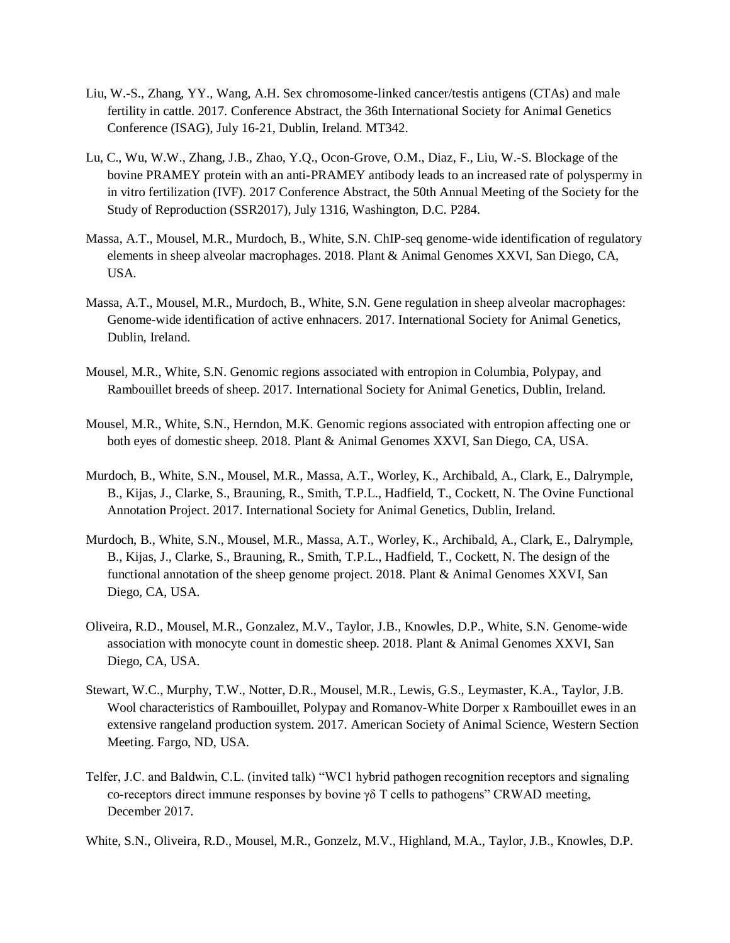- Liu, W.-S., Zhang, YY., Wang, A.H. Sex chromosome-linked cancer/testis antigens (CTAs) and male fertility in cattle. 2017. Conference Abstract, the 36th International Society for Animal Genetics Conference (ISAG), July 16-21, Dublin, Ireland. MT342.
- Lu, C., Wu, W.W., Zhang, J.B., Zhao, Y.Q., Ocon-Grove, O.M., Diaz, F., Liu, W.-S. Blockage of the bovine PRAMEY protein with an anti-PRAMEY antibody leads to an increased rate of polyspermy in in vitro fertilization (IVF). 2017 Conference Abstract, the 50th Annual Meeting of the Society for the Study of Reproduction (SSR2017), July 1316, Washington, D.C. P284.
- Massa, A.T., Mousel, M.R., Murdoch, B., White, S.N. ChIP-seq genome-wide identification of regulatory elements in sheep alveolar macrophages. 2018. Plant & Animal Genomes XXVI, San Diego, CA, USA.
- Massa, A.T., Mousel, M.R., Murdoch, B., White, S.N. Gene regulation in sheep alveolar macrophages: Genome-wide identification of active enhnacers. 2017. International Society for Animal Genetics, Dublin, Ireland.
- Mousel, M.R., White, S.N. Genomic regions associated with entropion in Columbia, Polypay, and Rambouillet breeds of sheep. 2017. International Society for Animal Genetics, Dublin, Ireland.
- Mousel, M.R., White, S.N., Herndon, M.K. Genomic regions associated with entropion affecting one or both eyes of domestic sheep. 2018. Plant & Animal Genomes XXVI, San Diego, CA, USA.
- Murdoch, B., White, S.N., Mousel, M.R., Massa, A.T., Worley, K., Archibald, A., Clark, E., Dalrymple, B., Kijas, J., Clarke, S., Brauning, R., Smith, T.P.L., Hadfield, T., Cockett, N. The Ovine Functional Annotation Project. 2017. International Society for Animal Genetics, Dublin, Ireland.
- Murdoch, B., White, S.N., Mousel, M.R., Massa, A.T., Worley, K., Archibald, A., Clark, E., Dalrymple, B., Kijas, J., Clarke, S., Brauning, R., Smith, T.P.L., Hadfield, T., Cockett, N. The design of the functional annotation of the sheep genome project. 2018. Plant & Animal Genomes XXVI, San Diego, CA, USA.
- Oliveira, R.D., Mousel, M.R., Gonzalez, M.V., Taylor, J.B., Knowles, D.P., White, S.N. Genome-wide association with monocyte count in domestic sheep. 2018. Plant & Animal Genomes XXVI, San Diego, CA, USA.
- Stewart, W.C., Murphy, T.W., Notter, D.R., Mousel, M.R., Lewis, G.S., Leymaster, K.A., Taylor, J.B. Wool characteristics of Rambouillet, Polypay and Romanov-White Dorper x Rambouillet ewes in an extensive rangeland production system. 2017. American Society of Animal Science, Western Section Meeting. Fargo, ND, USA.
- Telfer, J.C. and Baldwin, C.L. (invited talk) "WC1 hybrid pathogen recognition receptors and signaling co-receptors direct immune responses by bovine  $\gamma \delta$  T cells to pathogens" CRWAD meeting, December 2017.
- White, S.N., Oliveira, R.D., Mousel, M.R., Gonzelz, M.V., Highland, M.A., Taylor, J.B., Knowles, D.P.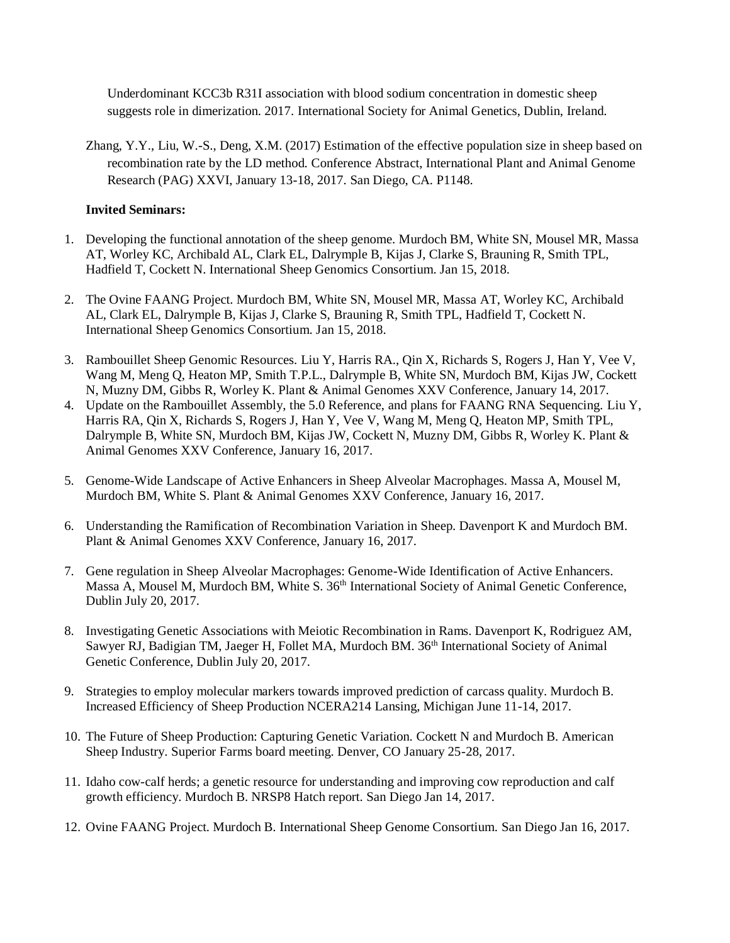Underdominant KCC3b R31I association with blood sodium concentration in domestic sheep suggests role in dimerization. 2017. International Society for Animal Genetics, Dublin, Ireland.

Zhang, Y.Y., Liu, W.-S., Deng, X.M. (2017) Estimation of the effective population size in sheep based on recombination rate by the LD method. Conference Abstract, International Plant and Animal Genome Research (PAG) XXVI, January 13-18, 2017. San Diego, CA. P1148.

# **Invited Seminars:**

- 1. Developing the functional annotation of the sheep genome. Murdoch BM, White SN, Mousel MR, Massa AT, Worley KC, Archibald AL, Clark EL, Dalrymple B, Kijas J, Clarke S, Brauning R, Smith TPL, Hadfield T, Cockett N. International Sheep Genomics Consortium. Jan 15, 2018.
- 2. The Ovine FAANG Project. Murdoch BM, White SN, Mousel MR, Massa AT, Worley KC, Archibald AL, Clark EL, Dalrymple B, Kijas J, Clarke S, Brauning R, Smith TPL, Hadfield T, Cockett N. International Sheep Genomics Consortium. Jan 15, 2018.
- 3. Rambouillet Sheep Genomic Resources. Liu Y, Harris RA., Qin X, Richards S, Rogers J, Han Y, Vee V, Wang M, Meng Q, Heaton MP, Smith T.P.L., Dalrymple B, White SN, Murdoch BM, Kijas JW, Cockett N, Muzny DM, Gibbs R, Worley K. Plant & Animal Genomes XXV Conference, January 14, 2017.
- 4. Update on the Rambouillet Assembly, the 5.0 Reference, and plans for FAANG RNA Sequencing. Liu Y, Harris RA, Qin X, Richards S, Rogers J, Han Y, Vee V, Wang M, Meng Q, Heaton MP, Smith TPL, Dalrymple B, White SN, Murdoch BM, Kijas JW, Cockett N, Muzny DM, Gibbs R, Worley K. Plant & Animal Genomes XXV Conference, January 16, 2017.
- 5. Genome-Wide Landscape of Active Enhancers in Sheep Alveolar Macrophages. Massa A, Mousel M, Murdoch BM, White S. Plant & Animal Genomes XXV Conference, January 16, 2017.
- 6. Understanding the Ramification of Recombination Variation in Sheep. Davenport K and Murdoch BM. Plant & Animal Genomes XXV Conference, January 16, 2017.
- 7. Gene regulation in Sheep Alveolar Macrophages: Genome-Wide Identification of Active Enhancers. Massa A, Mousel M, Murdoch BM, White S. 36<sup>th</sup> International Society of Animal Genetic Conference, Dublin July 20, 2017.
- 8. Investigating Genetic Associations with Meiotic Recombination in Rams. Davenport K, Rodriguez AM, Sawyer RJ, Badigian TM, Jaeger H, Follet MA, Murdoch BM. 36<sup>th</sup> International Society of Animal Genetic Conference, Dublin July 20, 2017.
- 9. Strategies to employ molecular markers towards improved prediction of carcass quality. Murdoch B. Increased Efficiency of Sheep Production NCERA214 Lansing, Michigan June 11-14, 2017.
- 10. The Future of Sheep Production: Capturing Genetic Variation. Cockett N and Murdoch B. American Sheep Industry. Superior Farms board meeting. Denver, CO January 25-28, 2017.
- 11. Idaho cow-calf herds; a genetic resource for understanding and improving cow reproduction and calf growth efficiency. Murdoch B. NRSP8 Hatch report. San Diego Jan 14, 2017.
- 12. Ovine FAANG Project. Murdoch B. International Sheep Genome Consortium. San Diego Jan 16, 2017.